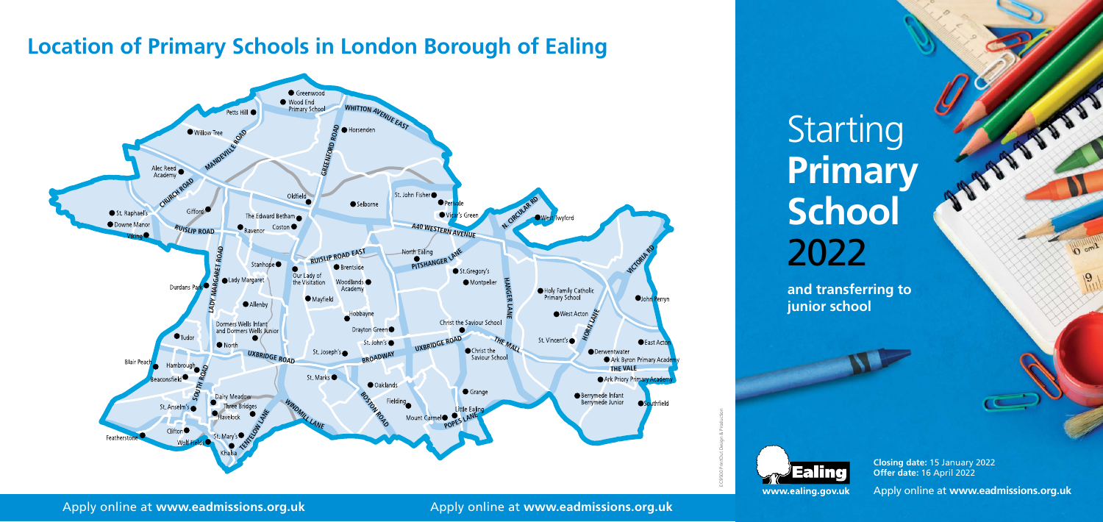## **Location of Primary Schools in London Borough of Ealing**



# Starting 2 **Primary School** 2022

### Apply online at **www.eadmissions.org.uk** Apply online at **www.eadmissions.org.uk**

**Closing date:** 15 January 2022 **Offer date:** 16 April 2022

Apply online at **www.eadmissions.org.uk**

O cmit

**and transferring to junior school**